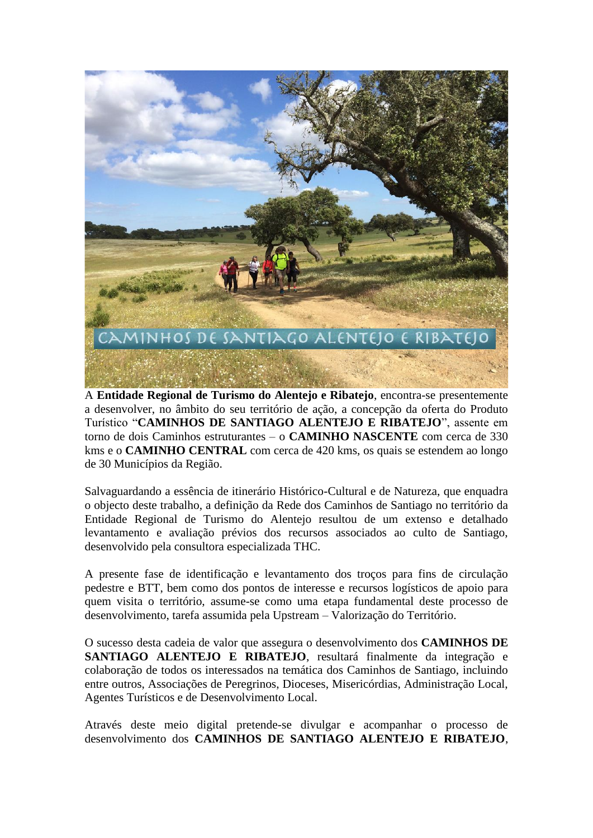

A **Entidade Regional de Turismo do Alentejo e Ribatejo**, encontra-se presentemente a desenvolver, no âmbito do seu território de ação, a concepção da oferta do Produto Turístico "**CAMINHOS DE SANTIAGO ALENTEJO E RIBATEJO**", assente em torno de dois Caminhos estruturantes – o **CAMINHO NASCENTE** com cerca de 330 kms e o **CAMINHO CENTRAL** com cerca de 420 kms, os quais se estendem ao longo de 30 Municípios da Região.

Salvaguardando a essência de itinerário Histórico-Cultural e de Natureza, que enquadra o objecto deste trabalho, a definição da Rede dos Caminhos de Santiago no território da Entidade Regional de Turismo do Alentejo resultou de um extenso e detalhado levantamento e avaliação prévios dos recursos associados ao culto de Santiago, desenvolvido pela consultora especializada THC.

A presente fase de identificação e levantamento dos troços para fins de circulação pedestre e BTT, bem como dos pontos de interesse e recursos logísticos de apoio para quem visita o território, assume-se como uma etapa fundamental deste processo de desenvolvimento, tarefa assumida pela Upstream – Valorização do Território.

O sucesso desta cadeia de valor que assegura o desenvolvimento dos **CAMINHOS DE SANTIAGO ALENTEJO E RIBATEJO**, resultará finalmente da integração e colaboração de todos os interessados na temática dos Caminhos de Santiago, incluindo entre outros, Associações de Peregrinos, Dioceses, Misericórdias, Administração Local, Agentes Turísticos e de Desenvolvimento Local.

Através deste meio digital pretende-se divulgar e acompanhar o processo de desenvolvimento dos **CAMINHOS DE SANTIAGO ALENTEJO E RIBATEJO**,